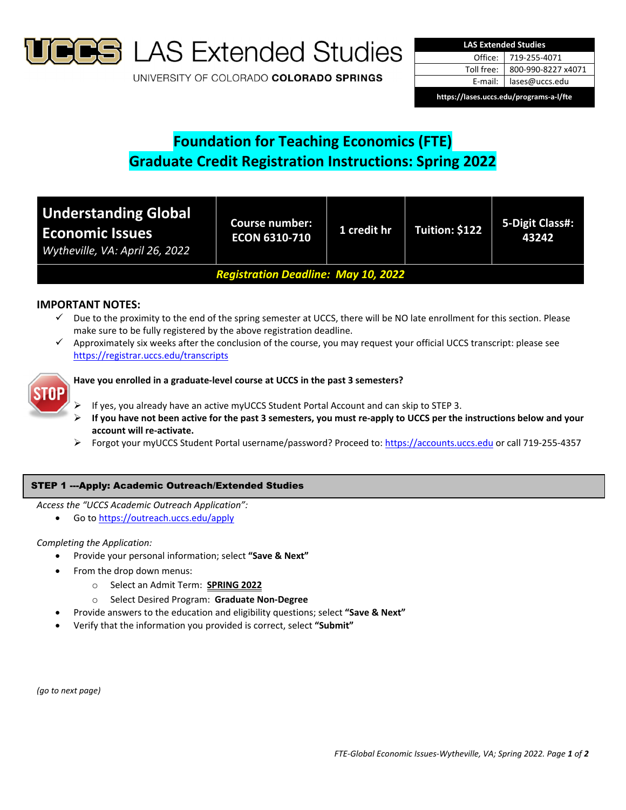

**S** LAS Extended Studies

UNIVERSITY OF COLORADO COLORADO SPRINGS

| <b>LAS Extended Studies</b>             |                    |  |  |  |
|-----------------------------------------|--------------------|--|--|--|
| Office:                                 | 719-255-4071       |  |  |  |
| Toll free:                              | 800-990-8227 x4071 |  |  |  |
| E-mail: I                               | lases@uccs.edu     |  |  |  |
| https://lases.uccs.edu/programs-a-l/fte |                    |  |  |  |

# **Foundation for Teaching Economics (FTE) Graduate Credit Registration Instructions: Spring 2022**

| <b>Understanding Global</b><br><b>Economic Issues</b><br>Wytheville, VA: April 26, 2022 | <b>Course number:</b><br><b>ECON 6310-710</b> | 1 credit hr | Tuition: \$122 | 5-Digit Class#:<br>43242 |  |
|-----------------------------------------------------------------------------------------|-----------------------------------------------|-------------|----------------|--------------------------|--|
| <b>Registration Deadline: May 10, 2022</b>                                              |                                               |             |                |                          |  |

# **IMPORTANT NOTES:**

- $\checkmark$  Due to the proximity to the end of the spring semester at UCCS, there will be NO late enrollment for this section. Please make sure to be fully registered by the above registration deadline.
- Approximately six weeks after the conclusion of the course, you may request your official UCCS transcript: please see https://registrar.uccs.edu/transcripts



## **Have you enrolled in a graduate‐level course at UCCS in the past 3 semesters?**

- If yes, you already have an active myUCCS Student Portal Account and can skip to STEP 3.
- If you have not been active for the past 3 semesters, you must re-apply to UCCS per the instructions below and your **account will re‐activate.**
- Forgot your myUCCS Student Portal username/password? Proceed to: https://accounts.uccs.edu or call 719‐255‐4357

## STEP 1 ---Apply: Academic Outreach/Extended Studies

*Access the "UCCS Academic Outreach Application":*

Go to https://outreach.uccs.edu/apply

## *Completing the Application:*

- Provide your personal information; select **"Save & Next"**
- From the drop down menus:
	- o Select an Admit Term: **SPRING 2022**
	- o Select Desired Program: **Graduate Non‐Degree**
- Provide answers to the education and eligibility questions; select **"Save & Next"**
- Verify that the information you provided is correct, select **"Submit"**

*(go to next page)*